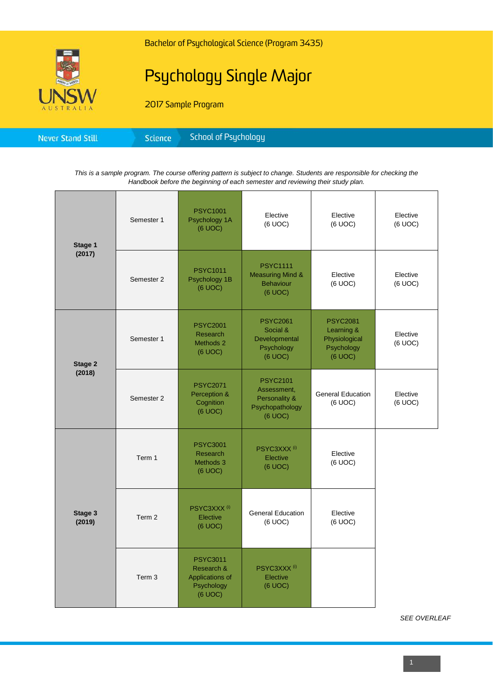

## Psychology Single Major

2017 Sample Program

| Science<br><b>Never Stand Still</b> | School of Psychology |
|-------------------------------------|----------------------|
|-------------------------------------|----------------------|

*This is a sample program. The course offering pattern is subject to change. Students are responsible for checking the Handbook before the beginning of each semester and reviewing their study plan.*

| Stage 1<br>(2017) | Semester 1        | <b>PSYC1001</b><br>Psychology 1A<br>(6 UOC)                               | Elective<br>(6 UOC)                                                                      | Elective<br>(6 UOC)                                                     | Elective<br>(6 UOC) |
|-------------------|-------------------|---------------------------------------------------------------------------|------------------------------------------------------------------------------------------|-------------------------------------------------------------------------|---------------------|
|                   | Semester 2        | <b>PSYC1011</b><br>Psychology 1B<br>(6 UOC)                               | <b>PSYC1111</b><br><b>Measuring Mind &amp;</b><br><b>Behaviour</b><br>(6 UOC)            | Elective<br>(6 UOC)                                                     | Elective<br>(6 UOC) |
| Stage 2<br>(2018) | Semester 1        | <b>PSYC2001</b><br><b>Research</b><br>Methods 2<br>(6 UOC)                | <b>PSYC2061</b><br>Social &<br>Developmental<br>Psychology<br>(6 UOC)                    | <b>PSYC2081</b><br>Learning &<br>Physiological<br>Psychology<br>(6 UOC) | Elective<br>(6 UOC) |
|                   | Semester 2        | <b>PSYC2071</b><br>Perception &<br>Cognition<br>(6 UOC)                   | <b>PSYC2101</b><br>Assessment,<br><b>Personality &amp;</b><br>Psychopathology<br>(6 UOC) | <b>General Education</b><br>(6 UOC)                                     | Elective<br>(6 UOC) |
| Stage 3<br>(2019) | Term 1            | <b>PSYC3001</b><br>Research<br>Methods 3<br>(6 UOC)                       | PSYC3XXX <sup>(i)</sup><br>Elective<br>(6 UOC)                                           | Elective<br>(6 UOC)                                                     |                     |
|                   | Term <sub>2</sub> | PSYC3XXX <sup>(i)</sup><br>Elective<br>(6 UOC)                            | <b>General Education</b><br>(6 UOC)                                                      | Elective<br>(6 UOC)                                                     |                     |
|                   | Term 3            | <b>PSYC3011</b><br>Research &<br>Applications of<br>Psychology<br>(6 UOC) | PSYC3XXX <sup>(i)</sup><br>Elective<br>(6 UOC)                                           |                                                                         |                     |

*SEE OVERLEAF*